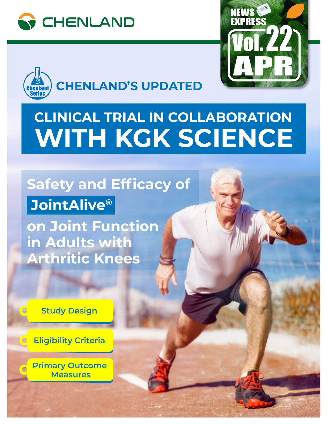





# **CLINICAL TRIAL IN COLLABORATION WITH KGK SCIENCE**

## **Safety and Efficacy of JointAlive®**

**on Joint Function in Adults with Arthritic Knees**



 $\bigcirc$ 

 $\overline{\bigcirc}$ 

 $\bigcirc$ 

**Eligibility Criteria**

**Primary Outcome Measures**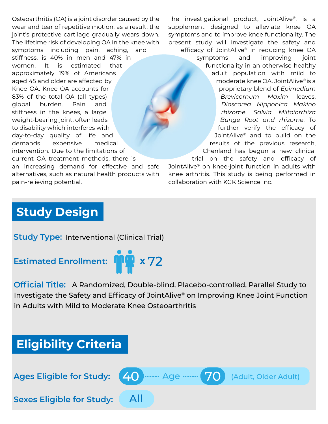Osteoarthritis (OA) is a joint disorder caused by the wear and tear of repetitive motion; as a result, the joint's protective cartilage gradually wears down. The lifetime risk of developing OA in the knee with symptoms including pain, aching, and

stiffness, is 40% in men and 47% in women. It is estimated that approximately 19% of Americans aged 45 and older are affected by Knee OA. Knee OA accounts for 83% of the total OA (all types) global burden. Pain and stiffness in the knees, a large weight-bearing joint, often leads to disability which interferes with day-to-day quality of life and demands expensive medical intervention. Due to the limitations of current OA treatment methods, there is

an increasing demand for effective and safe alternatives, such as natural health products with pain-relieving potential.

The investigational product, JointAlive®, is a supplement designed to alleviate knee OA symptoms and to improve knee functionality. The present study will investigate the safety and efficacy of JointAlive® in reducing knee OA symptoms and improving joint functionality in an otherwise healthy adult population with mild to moderate knee OA. JointAlive® is a proprietary blend of *Epimedium Brevicornum Maxim* leaves, *Dioscorea Nipponica Makino rhizome*, *Salvia Miltoiorrhiza Bunge Root and rhizome*. To further verify the efficacy of JointAlive® and to build on the results of the previous research, Chenland has begun a new clinical

trial on the safety and efficacy of JointAlive® on knee-joint function in adults with knee arthritis. This study is being performed in collaboration with KGK Science Inc.

## **Study Design**

**Study Type:** Interventional (Clinical Trial)

### **Estimated Enrollment: <sup>X</sup>** 72



**Official Title:** A Randomized, Double-blind, Placebo-controlled, Parallel Study to Investigate the Safety and Efficacy of JointAlive® on Improving Knee Joint Function in Adults with Mild to Moderate Knee Osteoarthritis

## **Eligibility Criteria**